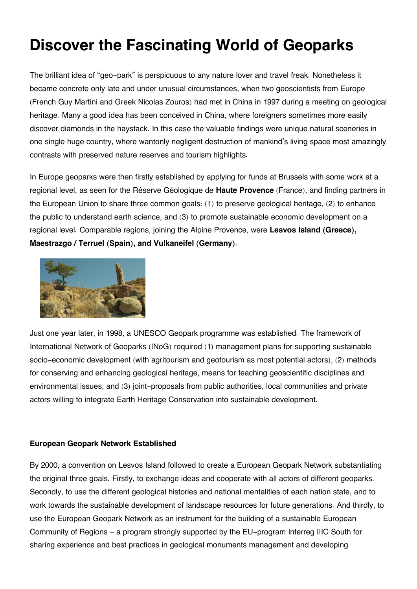# **Discover the Fascinating World of Geoparks**

The brilliant idea of "geo-park" is perspicuous to any nature lover and travel freak. Nonetheless it became concrete only late and under unusual circumstances, when two geoscientists from Europe (French Guy Martini and Greek Nicolas Zouros) had met in China in 1997 during a meeting on geological heritage. Many a good idea has been conceived in China, where foreigners sometimes more easily discover diamonds in the haystack. In this case the valuable findings were unique natural sceneries in one single huge country, where wantonly negligent destruction of mankind's living space most amazingly contrasts with preserved nature reserves and tourism highlights.

In Europe geoparks were then firstly established by applying for funds at Brussels with some work at a regional level, as seen for the Réserve Géologique de **Haute Provence** (France), and finding partners in the European Union to share three common goals: (1) to preserve geological heritage, (2) to enhance the public to understand earth science, and (3) to promote sustainable economic development on a regional level. Comparable regions, joining the Alpine Provence, were **Lesvos Island (Greece), Maestrazgo / Terruel (Spain), and Vulkaneifel (Germany).**



Just one year later, in 1998, a UNESCO Geopark programme was established. The framework of International Network of Geoparks (INoG) required (1) management plans for supporting sustainable socio-economic development (with agritourism and geotourism as most potential actors), (2) methods for conserving and enhancing geological heritage, means for teaching geoscientific disciplines and environmental issues, and (3) joint-proposals from public authorities, local communities and private actors willing to integrate Earth Heritage Conservation into sustainable development.

## **European Geopark Network Established**

By 2000, a convention on Lesvos Island followed to create a European Geopark Network substantiating the original three goals. Firstly, to exchange ideas and cooperate with all actors of different geoparks. Secondly, to use the different geological histories and national mentalities of each nation state, and to work towards the sustainable development of landscape resources for future generations. And thirdly, to use the European Geopark Network as an instrument for the building of a sustainable European Community of Regions – a program strongly supported by the EU-program Interreg IIIC South for sharing experience and best practices in geological monuments management and developing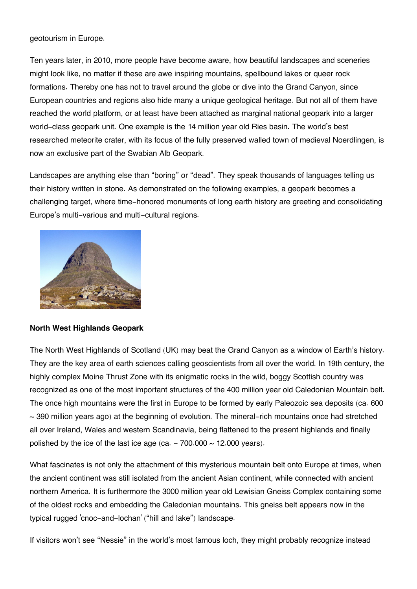geotourism in Europe.

Ten years later, in 2010, more people have become aware, how beautiful landscapes and sceneries might look like, no matter if these are awe inspiring mountains, spellbound lakes or queer rock formations. Thereby one has not to travel around the globe or dive into the Grand Canyon, since European countries and regions also hide many a unique geological heritage. But not all of them have reached the world platform, or at least have been attached as marginal national geopark into a larger world-class geopark unit. One example is the 14 million year old Ries basin. The world's best researched meteorite crater, with its focus of the fully preserved walled town of medieval Noerdlingen, is now an exclusive part of the Swabian Alb Geopark.

Landscapes are anything else than "boring" or "dead". They speak thousands of languages telling us their history written in stone. As demonstrated on the following examples, a geopark becomes a challenging target, where time-honored monuments of long earth history are greeting and consolidating Europe's multi-various and multi-cultural regions.



# **North West Highlands Geopark**

The North West Highlands of Scotland (UK) may beat the Grand Canyon as a window of Earth's history. They are the key area of earth sciences calling geoscientists from all over the world. In 19th century, the highly complex Moine Thrust Zone with its enigmatic rocks in the wild, boggy Scottish country was recognized as one of the most important structures of the 400 million year old Caledonian Mountain belt. The once high mountains were the first in Europe to be formed by early Paleozoic sea deposits (ca. 600  $\sim$  390 million years ago) at the beginning of evolution. The mineral-rich mountains once had stretched all over Ireland, Wales and western Scandinavia, being flattened to the present highlands and finally polished by the ice of the last ice age (ca.  $-700.000 \sim 12.000$  years).

What fascinates is not only the attachment of this mysterious mountain belt onto Europe at times, when the ancient continent was still isolated from the ancient Asian continent, while connected with ancient northern America. It is furthermore the 3000 million year old Lewisian Gneiss Complex containing some of the oldest rocks and embedding the Caledonian mountains. This gneiss belt appears now in the typical rugged 'cnoc-and-lochan' ("hill and lake") landscape.

If visitors won't see "Nessie" in the world's most famous loch, they might probably recognize instead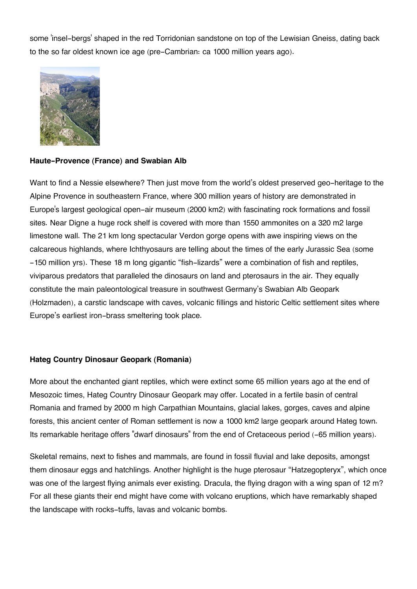some 'insel-bergs' shaped in the red Torridonian sandstone on top of the Lewisian Gneiss, dating back to the so far oldest known ice age (pre-Cambrian: ca 1000 million years ago).



#### **Haute-Provence (France) and Swabian Alb**

Want to find a Nessie elsewhere? Then just move from the world's oldest preserved geo-heritage to the Alpine Provence in southeastern France, where 300 million years of history are demonstrated in Europe's largest geological open-air museum (2000 km2) with fascinating rock formations and fossil sites. Near Digne a huge rock shelf is covered with more than 1550 ammonites on a 320 m2 large limestone wall. The 21 km long spectacular Verdon gorge opens with awe inspiring views on the calcareous highlands, where Ichthyosaurs are telling about the times of the early Jurassic Sea (some -150 million yrs). These 18 m long gigantic "fish-lizards" were a combination of fish and reptiles, viviparous predators that paralleled the dinosaurs on land and pterosaurs in the air. They equally constitute the main paleontological treasure in southwest Germany's Swabian Alb Geopark (Holzmaden), a carstic landscape with caves, volcanic fillings and historic Celtic settlement sites where Europe's earliest iron-brass smeltering took place.

## **Hateg Country Dinosaur Geopark (Romania)**

More about the enchanted giant reptiles, which were extinct some 65 million years ago at the end of Mesozoic times, Hateg Country Dinosaur Geopark may offer. Located in a fertile basin of central Romania and framed by 2000 m high Carpathian Mountains, glacial lakes, gorges, caves and alpine forests, this ancient center of Roman settlement is now a 1000 km2 large geopark around Hateg town. Its remarkable heritage offers "dwarf dinosaurs" from the end of Cretaceous period (-65 million years).

Skeletal remains, next to fishes and mammals, are found in fossil fluvial and lake deposits, amongst them dinosaur eggs and hatchlings. Another highlight is the huge pterosaur "Hatzegopteryx", which once was one of the largest flying animals ever existing. Dracula, the flying dragon with a wing span of 12 m? For all these giants their end might have come with volcano eruptions, which have remarkably shaped the landscape with rocks-tuffs, lavas and volcanic bombs.